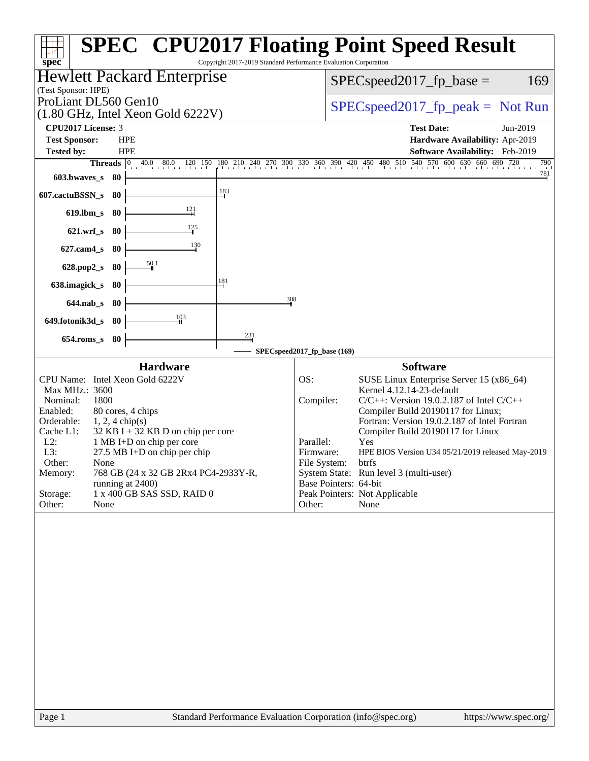| <b>SPEC<sup>®</sup> CPU2017 Floating Point Speed Result</b><br>Copyright 2017-2019 Standard Performance Evaluation Corporation<br>spec <sup>®</sup><br><b>Hewlett Packard Enterprise</b><br>$SPEC speed2017_fp\_base =$<br>(Test Sponsor: HPE)<br>ProLiant DL560 Gen10<br>$SPEC speed2017rfp peak = Not Run$<br>$(1.80 \text{ GHz}, \text{Intel Xeon Gold } 6222 \text{V})$<br>CPU2017 License: 3<br><b>Test Date:</b><br>Jun-2019<br><b>Test Sponsor:</b><br><b>HPE</b><br>Hardware Availability: Apr-2019<br><b>Tested by:</b><br><b>HPE</b><br>Software Availability: Feb-2019<br>Threads 0 40.0 80.0 120 150 180 210 240 270 300 330 360 390 420 450 480 510 540 570 600 630 660 690 720<br>$\frac{781}{4}$<br>$603.bwaves$ 80<br>$\frac{183}{2}$<br>607.cactuBSSN_s<br>- 80<br>$\frac{121}{1}$<br>619.lbm_s 80<br>$\frac{125}{1}$<br>621.wrf_s 80<br>130<br>$627$ .cam $4_s$<br>- 80<br>$\frac{50.1}{2}$<br>628.pop2_s<br>- 80<br>181<br>638.imagick_s<br>80<br>308<br>$644.nab_s$<br>- 80<br>103<br>649.fotonik3d_s 80<br>$^{231}$<br>$654$ .roms_s<br>80<br>SPECspeed2017_fp_base (169)<br><b>Hardware</b><br><b>Software</b><br>CPU Name: Intel Xeon Gold 6222V<br>OS:<br>SUSE Linux Enterprise Server 15 (x86_64)<br>Max MHz.: 3600<br>Kernel 4.12.14-23-default<br>1800<br>Nominal:<br>Compiler:<br>$C/C++$ : Version 19.0.2.187 of Intel $C/C++$<br>Enabled:<br>80 cores, 4 chips<br>Compiler Build 20190117 for Linux;<br>Fortran: Version 19.0.2.187 of Intel Fortran<br>Orderable:<br>$1, 2, 4$ chip(s)<br>$32$ KB I + 32 KB D on chip per core<br>Cache L1:<br>Compiler Build 20190117 for Linux<br>$L2$ :<br>1 MB I+D on chip per core<br>Parallel:<br>Yes<br>L3:<br>$27.5$ MB I+D on chip per chip<br>HPE BIOS Version U34 05/21/2019 released May-2019<br>Firmware:<br>Other:<br>None<br>File System:<br>btrfs<br>System State: Run level 3 (multi-user)<br>Memory:<br>768 GB (24 x 32 GB 2Rx4 PC4-2933Y-R,<br>Base Pointers: 64-bit<br>running at 2400)<br>1 x 400 GB SAS SSD, RAID 0<br>Storage:<br>Peak Pointers: Not Applicable<br>None<br>Other:<br>None<br>Other: |        |  |                       |  |  |  |
|-------------------------------------------------------------------------------------------------------------------------------------------------------------------------------------------------------------------------------------------------------------------------------------------------------------------------------------------------------------------------------------------------------------------------------------------------------------------------------------------------------------------------------------------------------------------------------------------------------------------------------------------------------------------------------------------------------------------------------------------------------------------------------------------------------------------------------------------------------------------------------------------------------------------------------------------------------------------------------------------------------------------------------------------------------------------------------------------------------------------------------------------------------------------------------------------------------------------------------------------------------------------------------------------------------------------------------------------------------------------------------------------------------------------------------------------------------------------------------------------------------------------------------------------------------------------------------------------------------------------------------------------------------------------------------------------------------------------------------------------------------------------------------------------------------------------------------------------------------------------------------------------------------------------------------------------------------------------------------------------------------------------------------------------------------------------------------------------|--------|--|-----------------------|--|--|--|
|                                                                                                                                                                                                                                                                                                                                                                                                                                                                                                                                                                                                                                                                                                                                                                                                                                                                                                                                                                                                                                                                                                                                                                                                                                                                                                                                                                                                                                                                                                                                                                                                                                                                                                                                                                                                                                                                                                                                                                                                                                                                                           |        |  |                       |  |  |  |
|                                                                                                                                                                                                                                                                                                                                                                                                                                                                                                                                                                                                                                                                                                                                                                                                                                                                                                                                                                                                                                                                                                                                                                                                                                                                                                                                                                                                                                                                                                                                                                                                                                                                                                                                                                                                                                                                                                                                                                                                                                                                                           |        |  | 169                   |  |  |  |
|                                                                                                                                                                                                                                                                                                                                                                                                                                                                                                                                                                                                                                                                                                                                                                                                                                                                                                                                                                                                                                                                                                                                                                                                                                                                                                                                                                                                                                                                                                                                                                                                                                                                                                                                                                                                                                                                                                                                                                                                                                                                                           |        |  |                       |  |  |  |
|                                                                                                                                                                                                                                                                                                                                                                                                                                                                                                                                                                                                                                                                                                                                                                                                                                                                                                                                                                                                                                                                                                                                                                                                                                                                                                                                                                                                                                                                                                                                                                                                                                                                                                                                                                                                                                                                                                                                                                                                                                                                                           |        |  |                       |  |  |  |
|                                                                                                                                                                                                                                                                                                                                                                                                                                                                                                                                                                                                                                                                                                                                                                                                                                                                                                                                                                                                                                                                                                                                                                                                                                                                                                                                                                                                                                                                                                                                                                                                                                                                                                                                                                                                                                                                                                                                                                                                                                                                                           |        |  |                       |  |  |  |
|                                                                                                                                                                                                                                                                                                                                                                                                                                                                                                                                                                                                                                                                                                                                                                                                                                                                                                                                                                                                                                                                                                                                                                                                                                                                                                                                                                                                                                                                                                                                                                                                                                                                                                                                                                                                                                                                                                                                                                                                                                                                                           |        |  |                       |  |  |  |
|                                                                                                                                                                                                                                                                                                                                                                                                                                                                                                                                                                                                                                                                                                                                                                                                                                                                                                                                                                                                                                                                                                                                                                                                                                                                                                                                                                                                                                                                                                                                                                                                                                                                                                                                                                                                                                                                                                                                                                                                                                                                                           |        |  | 790                   |  |  |  |
|                                                                                                                                                                                                                                                                                                                                                                                                                                                                                                                                                                                                                                                                                                                                                                                                                                                                                                                                                                                                                                                                                                                                                                                                                                                                                                                                                                                                                                                                                                                                                                                                                                                                                                                                                                                                                                                                                                                                                                                                                                                                                           |        |  |                       |  |  |  |
|                                                                                                                                                                                                                                                                                                                                                                                                                                                                                                                                                                                                                                                                                                                                                                                                                                                                                                                                                                                                                                                                                                                                                                                                                                                                                                                                                                                                                                                                                                                                                                                                                                                                                                                                                                                                                                                                                                                                                                                                                                                                                           |        |  |                       |  |  |  |
|                                                                                                                                                                                                                                                                                                                                                                                                                                                                                                                                                                                                                                                                                                                                                                                                                                                                                                                                                                                                                                                                                                                                                                                                                                                                                                                                                                                                                                                                                                                                                                                                                                                                                                                                                                                                                                                                                                                                                                                                                                                                                           |        |  |                       |  |  |  |
|                                                                                                                                                                                                                                                                                                                                                                                                                                                                                                                                                                                                                                                                                                                                                                                                                                                                                                                                                                                                                                                                                                                                                                                                                                                                                                                                                                                                                                                                                                                                                                                                                                                                                                                                                                                                                                                                                                                                                                                                                                                                                           |        |  |                       |  |  |  |
|                                                                                                                                                                                                                                                                                                                                                                                                                                                                                                                                                                                                                                                                                                                                                                                                                                                                                                                                                                                                                                                                                                                                                                                                                                                                                                                                                                                                                                                                                                                                                                                                                                                                                                                                                                                                                                                                                                                                                                                                                                                                                           |        |  |                       |  |  |  |
|                                                                                                                                                                                                                                                                                                                                                                                                                                                                                                                                                                                                                                                                                                                                                                                                                                                                                                                                                                                                                                                                                                                                                                                                                                                                                                                                                                                                                                                                                                                                                                                                                                                                                                                                                                                                                                                                                                                                                                                                                                                                                           |        |  |                       |  |  |  |
|                                                                                                                                                                                                                                                                                                                                                                                                                                                                                                                                                                                                                                                                                                                                                                                                                                                                                                                                                                                                                                                                                                                                                                                                                                                                                                                                                                                                                                                                                                                                                                                                                                                                                                                                                                                                                                                                                                                                                                                                                                                                                           |        |  |                       |  |  |  |
|                                                                                                                                                                                                                                                                                                                                                                                                                                                                                                                                                                                                                                                                                                                                                                                                                                                                                                                                                                                                                                                                                                                                                                                                                                                                                                                                                                                                                                                                                                                                                                                                                                                                                                                                                                                                                                                                                                                                                                                                                                                                                           |        |  |                       |  |  |  |
|                                                                                                                                                                                                                                                                                                                                                                                                                                                                                                                                                                                                                                                                                                                                                                                                                                                                                                                                                                                                                                                                                                                                                                                                                                                                                                                                                                                                                                                                                                                                                                                                                                                                                                                                                                                                                                                                                                                                                                                                                                                                                           |        |  |                       |  |  |  |
|                                                                                                                                                                                                                                                                                                                                                                                                                                                                                                                                                                                                                                                                                                                                                                                                                                                                                                                                                                                                                                                                                                                                                                                                                                                                                                                                                                                                                                                                                                                                                                                                                                                                                                                                                                                                                                                                                                                                                                                                                                                                                           |        |  |                       |  |  |  |
|                                                                                                                                                                                                                                                                                                                                                                                                                                                                                                                                                                                                                                                                                                                                                                                                                                                                                                                                                                                                                                                                                                                                                                                                                                                                                                                                                                                                                                                                                                                                                                                                                                                                                                                                                                                                                                                                                                                                                                                                                                                                                           |        |  |                       |  |  |  |
|                                                                                                                                                                                                                                                                                                                                                                                                                                                                                                                                                                                                                                                                                                                                                                                                                                                                                                                                                                                                                                                                                                                                                                                                                                                                                                                                                                                                                                                                                                                                                                                                                                                                                                                                                                                                                                                                                                                                                                                                                                                                                           |        |  |                       |  |  |  |
| Standard Performance Evaluation Corporation (info@spec.org)                                                                                                                                                                                                                                                                                                                                                                                                                                                                                                                                                                                                                                                                                                                                                                                                                                                                                                                                                                                                                                                                                                                                                                                                                                                                                                                                                                                                                                                                                                                                                                                                                                                                                                                                                                                                                                                                                                                                                                                                                               | Page 1 |  | https://www.spec.org/ |  |  |  |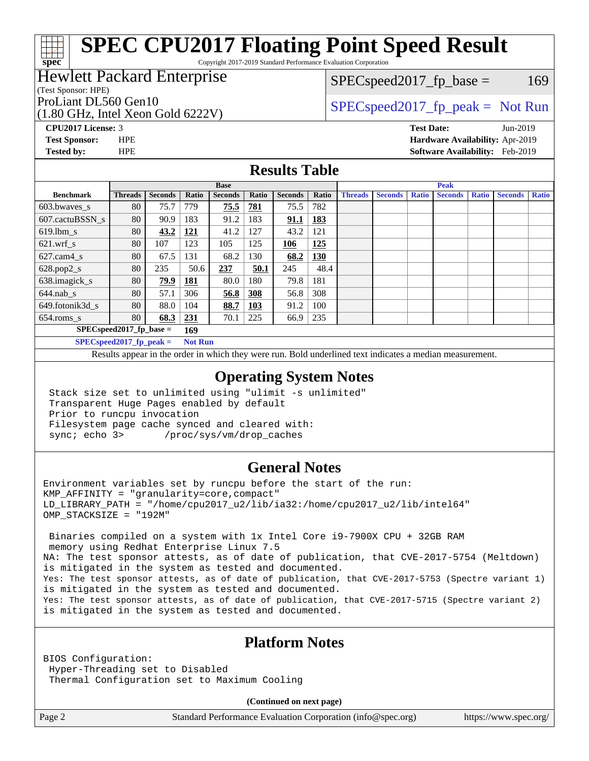Copyright 2017-2019 Standard Performance Evaluation Corporation

### Hewlett Packard Enterprise

(Test Sponsor: HPE)

**[spec](http://www.spec.org/)**

(1.80 GHz, Intel Xeon Gold 6222V)

 $SPEC speed2017_fp\_base = 169$ 

### ProLiant DL560 Gen10  $SPEC speed2017$  fp\_peak = Not Run

**[CPU2017 License:](http://www.spec.org/auto/cpu2017/Docs/result-fields.html#CPU2017License)** 3 **[Test Date:](http://www.spec.org/auto/cpu2017/Docs/result-fields.html#TestDate)** Jun-2019

**[Test Sponsor:](http://www.spec.org/auto/cpu2017/Docs/result-fields.html#TestSponsor)** HPE **[Hardware Availability:](http://www.spec.org/auto/cpu2017/Docs/result-fields.html#HardwareAvailability)** Apr-2019 **[Tested by:](http://www.spec.org/auto/cpu2017/Docs/result-fields.html#Testedby)** HPE **[Software Availability:](http://www.spec.org/auto/cpu2017/Docs/result-fields.html#SoftwareAvailability)** Feb-2019

### **[Results Table](http://www.spec.org/auto/cpu2017/Docs/result-fields.html#ResultsTable)**

|                                   | <b>Base</b>                                                                 |                |              |                | <b>Peak</b> |                |            |                |                |              |                |              |                |              |
|-----------------------------------|-----------------------------------------------------------------------------|----------------|--------------|----------------|-------------|----------------|------------|----------------|----------------|--------------|----------------|--------------|----------------|--------------|
| <b>Benchmark</b>                  | <b>Threads</b>                                                              | <b>Seconds</b> | <b>Ratio</b> | <b>Seconds</b> | Ratio       | <b>Seconds</b> | Ratio      | <b>Threads</b> | <b>Seconds</b> | <b>Ratio</b> | <b>Seconds</b> | <b>Ratio</b> | <b>Seconds</b> | <b>Ratio</b> |
| $603.bwaves$ s                    | 80                                                                          | 75.7           | 779          | 75.5           | 781         | 75.5           | 782        |                |                |              |                |              |                |              |
| 607.cactuBSSN s                   | 80                                                                          | 90.9           | 183          | 91.2           | 183         | 91.1           | <b>183</b> |                |                |              |                |              |                |              |
| $619.1$ bm s                      | 80                                                                          | 43.2           | 121          | 41.2           | 127         | 43.2           | 121        |                |                |              |                |              |                |              |
| $621$ .wrf s                      | 80                                                                          | 107            | 123          | 105            | 125         | 106            | 125        |                |                |              |                |              |                |              |
| $627$ .cam $4 \text{ s}$          | 80                                                                          | 67.5           | 131          | 68.2           | 130         | 68.2           | <b>130</b> |                |                |              |                |              |                |              |
| $628.pop2_s$                      | 80                                                                          | 235            | 50.6         | 237            | 50.1        | 245            | 48.4       |                |                |              |                |              |                |              |
| 638.imagick_s                     | 80                                                                          | 79.9           | 181          | 80.0           | 180         | 79.8           | 181        |                |                |              |                |              |                |              |
| $644$ .nab s                      | 80                                                                          | 57.1           | 306          | 56.8           | 308         | 56.8           | 308        |                |                |              |                |              |                |              |
| 649.fotonik3d s                   | 80                                                                          | 88.0           | 104          | 88.7           | 103         | 91.2           | 100        |                |                |              |                |              |                |              |
| $654$ .roms s                     | 80                                                                          | 68.3           | 231          | 70.1           | 225         | 66.9           | 235        |                |                |              |                |              |                |              |
| $SPEC speed2017$ fp base =<br>169 |                                                                             |                |              |                |             |                |            |                |                |              |                |              |                |              |
|                                   | $CDFC_{\alpha \alpha \alpha}$ $d2017$ from $R =$<br>$Nof$ D <sub>11</sub> n |                |              |                |             |                |            |                |                |              |                |              |                |              |

**[SPECspeed2017\\_fp\\_peak =](http://www.spec.org/auto/cpu2017/Docs/result-fields.html#SPECspeed2017fppeak) Not Run**

Results appear in the [order in which they were run.](http://www.spec.org/auto/cpu2017/Docs/result-fields.html#RunOrder) Bold underlined text [indicates a median measurement](http://www.spec.org/auto/cpu2017/Docs/result-fields.html#Median).

#### **[Operating System Notes](http://www.spec.org/auto/cpu2017/Docs/result-fields.html#OperatingSystemNotes)**

 Stack size set to unlimited using "ulimit -s unlimited" Transparent Huge Pages enabled by default Prior to runcpu invocation Filesystem page cache synced and cleared with: sync; echo 3> /proc/sys/vm/drop\_caches

#### **[General Notes](http://www.spec.org/auto/cpu2017/Docs/result-fields.html#GeneralNotes)**

Environment variables set by runcpu before the start of the run: KMP\_AFFINITY = "granularity=core,compact" LD\_LIBRARY\_PATH = "/home/cpu2017\_u2/lib/ia32:/home/cpu2017\_u2/lib/intel64" OMP\_STACKSIZE = "192M"

 Binaries compiled on a system with 1x Intel Core i9-7900X CPU + 32GB RAM memory using Redhat Enterprise Linux 7.5 NA: The test sponsor attests, as of date of publication, that CVE-2017-5754 (Meltdown) is mitigated in the system as tested and documented. Yes: The test sponsor attests, as of date of publication, that CVE-2017-5753 (Spectre variant 1) is mitigated in the system as tested and documented. Yes: The test sponsor attests, as of date of publication, that CVE-2017-5715 (Spectre variant 2) is mitigated in the system as tested and documented.

#### **[Platform Notes](http://www.spec.org/auto/cpu2017/Docs/result-fields.html#PlatformNotes)**

BIOS Configuration: Hyper-Threading set to Disabled Thermal Configuration set to Maximum Cooling

**(Continued on next page)**

Page 2 Standard Performance Evaluation Corporation [\(info@spec.org\)](mailto:info@spec.org) <https://www.spec.org/>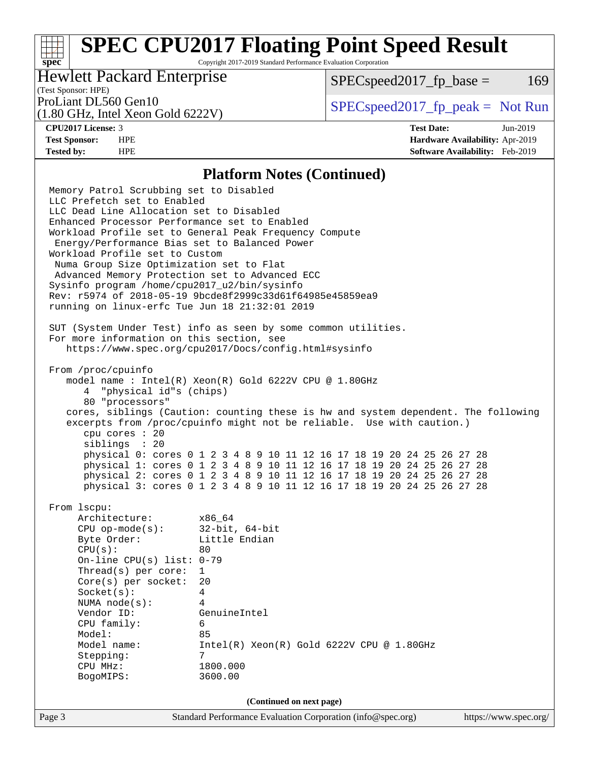Copyright 2017-2019 Standard Performance Evaluation Corporation

### Hewlett Packard Enterprise

 $SPEC speed2017<sub>fp</sub> base =  $169$$ 

### (Test Sponsor: HPE)

(1.80 GHz, Intel Xeon Gold 6222V)

ProLiant DL560 Gen10  $SPEC speed2017$  [p\_peak = Not Run

**[spec](http://www.spec.org/)**

**[CPU2017 License:](http://www.spec.org/auto/cpu2017/Docs/result-fields.html#CPU2017License)** 3 **[Test Date:](http://www.spec.org/auto/cpu2017/Docs/result-fields.html#TestDate)** Jun-2019 **[Test Sponsor:](http://www.spec.org/auto/cpu2017/Docs/result-fields.html#TestSponsor)** HPE **[Hardware Availability:](http://www.spec.org/auto/cpu2017/Docs/result-fields.html#HardwareAvailability)** Apr-2019 **[Tested by:](http://www.spec.org/auto/cpu2017/Docs/result-fields.html#Testedby)** HPE **[Software Availability:](http://www.spec.org/auto/cpu2017/Docs/result-fields.html#SoftwareAvailability)** Feb-2019

#### **[Platform Notes \(Continued\)](http://www.spec.org/auto/cpu2017/Docs/result-fields.html#PlatformNotes)**

Page 3 Standard Performance Evaluation Corporation [\(info@spec.org\)](mailto:info@spec.org) <https://www.spec.org/> Memory Patrol Scrubbing set to Disabled LLC Prefetch set to Enabled LLC Dead Line Allocation set to Disabled Enhanced Processor Performance set to Enabled Workload Profile set to General Peak Frequency Compute Energy/Performance Bias set to Balanced Power Workload Profile set to Custom Numa Group Size Optimization set to Flat Advanced Memory Protection set to Advanced ECC Sysinfo program /home/cpu2017\_u2/bin/sysinfo Rev: r5974 of 2018-05-19 9bcde8f2999c33d61f64985e45859ea9 running on linux-erfc Tue Jun 18 21:32:01 2019 SUT (System Under Test) info as seen by some common utilities. For more information on this section, see <https://www.spec.org/cpu2017/Docs/config.html#sysinfo> From /proc/cpuinfo model name : Intel(R) Xeon(R) Gold 6222V CPU @ 1.80GHz 4 "physical id"s (chips) 80 "processors" cores, siblings (Caution: counting these is hw and system dependent. The following excerpts from /proc/cpuinfo might not be reliable. Use with caution.) cpu cores : 20 siblings : 20 physical 0: cores 0 1 2 3 4 8 9 10 11 12 16 17 18 19 20 24 25 26 27 28 physical 1: cores 0 1 2 3 4 8 9 10 11 12 16 17 18 19 20 24 25 26 27 28 physical 2: cores 0 1 2 3 4 8 9 10 11 12 16 17 18 19 20 24 25 26 27 28 physical 3: cores 0 1 2 3 4 8 9 10 11 12 16 17 18 19 20 24 25 26 27 28 From lscpu: Architecture: x86\_64 CPU op-mode(s): 32-bit, 64-bit Byte Order: Little Endian  $CPU(s):$  80 On-line CPU(s) list: 0-79 Thread(s) per core: 1 Core(s) per socket: 20 Socket(s): 4 NUMA node(s): 4 Vendor ID: GenuineIntel CPU family: 6 Model: 85<br>Model name: 1n  $Intel(R)$  Xeon $(R)$  Gold 6222V CPU @ 1.80GHz Stepping: 7 CPU MHz: 1800.000 BogoMIPS: 3600.00 **(Continued on next page)**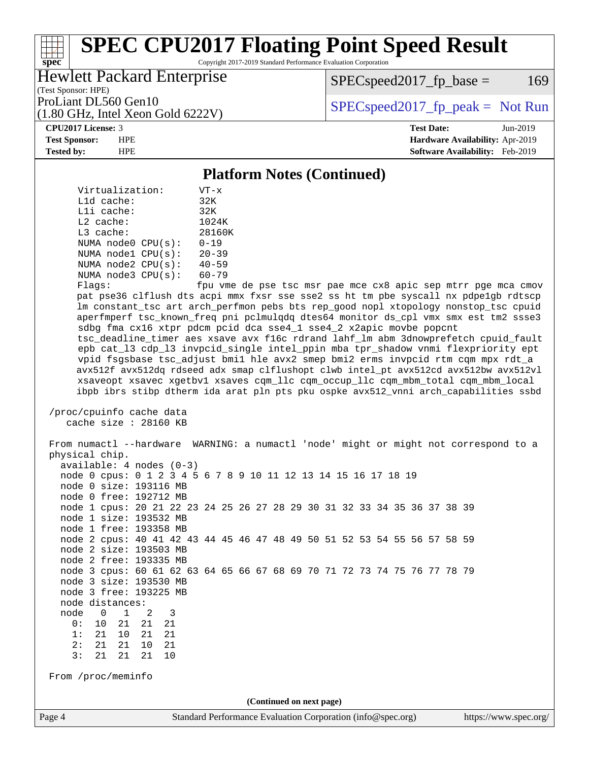Copyright 2017-2019 Standard Performance Evaluation Corporation

### Hewlett Packard Enterprise

(1.80 GHz, Intel Xeon Gold 6222V)

 $SPEC speed2017<sub>fp</sub> base =  $169$$ 

(Test Sponsor: HPE)

ProLiant DL560 Gen10  $SPEC speed2017$  [p\_peak = Not Run

#### **[CPU2017 License:](http://www.spec.org/auto/cpu2017/Docs/result-fields.html#CPU2017License)** 3 **[Test Date:](http://www.spec.org/auto/cpu2017/Docs/result-fields.html#TestDate)** Jun-2019

**[spec](http://www.spec.org/)**

**[Test Sponsor:](http://www.spec.org/auto/cpu2017/Docs/result-fields.html#TestSponsor)** HPE **[Hardware Availability:](http://www.spec.org/auto/cpu2017/Docs/result-fields.html#HardwareAvailability)** Apr-2019 **[Tested by:](http://www.spec.org/auto/cpu2017/Docs/result-fields.html#Testedby)** HPE **[Software Availability:](http://www.spec.org/auto/cpu2017/Docs/result-fields.html#SoftwareAvailability)** Feb-2019

#### **[Platform Notes \(Continued\)](http://www.spec.org/auto/cpu2017/Docs/result-fields.html#PlatformNotes)**

 Virtualization: VT-x L1d cache: 32K L1i cache: 32K L2 cache: 1024K L3 cache: 28160K NUMA node0 CPU(s): 0-19 NUMA node1 CPU(s): 20-39 NUMA node2 CPU(s): 40-59 NUMA node3 CPU(s): 60-79

Flags: fpu vme de pse tsc msr pae mce cx8 apic sep mtrr pge mca cmov pat pse36 clflush dts acpi mmx fxsr sse sse2 ss ht tm pbe syscall nx pdpe1gb rdtscp lm constant\_tsc art arch\_perfmon pebs bts rep\_good nopl xtopology nonstop\_tsc cpuid aperfmperf tsc\_known\_freq pni pclmulqdq dtes64 monitor ds\_cpl vmx smx est tm2 ssse3 sdbg fma cx16 xtpr pdcm pcid dca sse4\_1 sse4\_2 x2apic movbe popcnt tsc\_deadline\_timer aes xsave avx f16c rdrand lahf\_lm abm 3dnowprefetch cpuid\_fault epb cat\_l3 cdp\_l3 invpcid\_single intel\_ppin mba tpr\_shadow vnmi flexpriority ept vpid fsgsbase tsc\_adjust bmi1 hle avx2 smep bmi2 erms invpcid rtm cqm mpx rdt\_a avx512f avx512dq rdseed adx smap clflushopt clwb intel\_pt avx512cd avx512bw avx512vl xsaveopt xsavec xgetbv1 xsaves cqm\_llc cqm\_occup\_llc cqm\_mbm\_total cqm\_mbm\_local ibpb ibrs stibp dtherm ida arat pln pts pku ospke avx512\_vnni arch\_capabilities ssbd

 /proc/cpuinfo cache data cache size : 28160 KB

Page 4 Standard Performance Evaluation Corporation [\(info@spec.org\)](mailto:info@spec.org) <https://www.spec.org/> From numactl --hardware WARNING: a numactl 'node' might or might not correspond to a physical chip. available: 4 nodes (0-3) node 0 cpus: 0 1 2 3 4 5 6 7 8 9 10 11 12 13 14 15 16 17 18 19 node 0 size: 193116 MB node 0 free: 192712 MB node 1 cpus: 20 21 22 23 24 25 26 27 28 29 30 31 32 33 34 35 36 37 38 39 node 1 size: 193532 MB node 1 free: 193358 MB node 2 cpus: 40 41 42 43 44 45 46 47 48 49 50 51 52 53 54 55 56 57 58 59 node 2 size: 193503 MB node 2 free: 193335 MB node 3 cpus: 60 61 62 63 64 65 66 67 68 69 70 71 72 73 74 75 76 77 78 79 node 3 size: 193530 MB node 3 free: 193225 MB node distances: node 0 1 2 3 0: 10 21 21 21 1: 21 10 21 21 2: 21 21 10 21 3: 21 21 21 10 From /proc/meminfo **(Continued on next page)**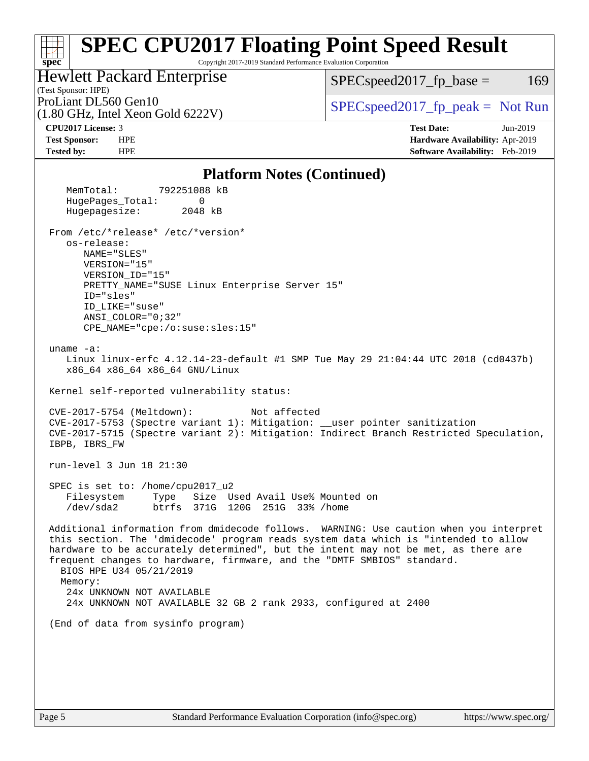#### **[spec](http://www.spec.org/) [SPEC CPU2017 Floating Point Speed Result](http://www.spec.org/auto/cpu2017/Docs/result-fields.html#SPECCPU2017FloatingPointSpeedResult)** Copyright 2017-2019 Standard Performance Evaluation Corporation (Test Sponsor: HPE) Hewlett Packard Enterprise (1.80 GHz, Intel Xeon Gold 6222V) ProLiant DL560 Gen10<br>(1.80 GHz, Intel Xeon Gold 6222V) [SPECspeed2017\\_fp\\_peak =](http://www.spec.org/auto/cpu2017/Docs/result-fields.html#SPECspeed2017fppeak) Not Run  $SPECspeed2017_fp\_base = 169$ **[CPU2017 License:](http://www.spec.org/auto/cpu2017/Docs/result-fields.html#CPU2017License)** 3 **[Test Date:](http://www.spec.org/auto/cpu2017/Docs/result-fields.html#TestDate)** Jun-2019 **[Test Sponsor:](http://www.spec.org/auto/cpu2017/Docs/result-fields.html#TestSponsor)** HPE **[Hardware Availability:](http://www.spec.org/auto/cpu2017/Docs/result-fields.html#HardwareAvailability)** Apr-2019 **[Tested by:](http://www.spec.org/auto/cpu2017/Docs/result-fields.html#Testedby)** HPE **[Software Availability:](http://www.spec.org/auto/cpu2017/Docs/result-fields.html#SoftwareAvailability)** Feb-2019

#### **[Platform Notes \(Continued\)](http://www.spec.org/auto/cpu2017/Docs/result-fields.html#PlatformNotes)**

| Platform indies (Continued)                                                                                                                                                                                                                                                                                                                                                                                                                                                          |
|--------------------------------------------------------------------------------------------------------------------------------------------------------------------------------------------------------------------------------------------------------------------------------------------------------------------------------------------------------------------------------------------------------------------------------------------------------------------------------------|
| MemTotal: 792251088 kB<br>HugePages_Total:<br>$\Omega$<br>Hugepagesize: 2048 kB                                                                                                                                                                                                                                                                                                                                                                                                      |
| From /etc/*release* /etc/*version*<br>os-release:<br>NAME="SLES"<br>VERSION="15"<br>VERSION_ID="15"<br>PRETTY_NAME="SUSE Linux Enterprise Server 15"<br>ID="sles"<br>ID LIKE="suse"<br>$ANSI$ _COLOR=" $0:32$ "<br>CPE_NAME="cpe:/o:suse:sles:15"                                                                                                                                                                                                                                    |
| uname $-a$ :<br>Linux linux-erfc 4.12.14-23-default #1 SMP Tue May 29 21:04:44 UTC 2018 (cd0437b)<br>x86 64 x86 64 x86 64 GNU/Linux                                                                                                                                                                                                                                                                                                                                                  |
| Kernel self-reported vulnerability status:                                                                                                                                                                                                                                                                                                                                                                                                                                           |
| Not affected<br>$CVE-2017-5754$ (Meltdown):<br>CVE-2017-5753 (Spectre variant 1): Mitigation: __user pointer sanitization<br>CVE-2017-5715 (Spectre variant 2): Mitigation: Indirect Branch Restricted Speculation,<br>IBPB, IBRS_FW                                                                                                                                                                                                                                                 |
| run-level 3 Jun 18 21:30                                                                                                                                                                                                                                                                                                                                                                                                                                                             |
| SPEC is set to: /home/cpu2017_u2<br>Filesystem<br>Type Size Used Avail Use% Mounted on<br>/dev/sda2 btrfs 371G 120G 251G 33% /home                                                                                                                                                                                                                                                                                                                                                   |
| Additional information from dmidecode follows. WARNING: Use caution when you interpret<br>this section. The 'dmidecode' program reads system data which is "intended to allow<br>hardware to be accurately determined", but the intent may not be met, as there are<br>frequent changes to hardware, firmware, and the "DMTF SMBIOS" standard.<br>BIOS HPE U34 05/21/2019<br>Memory:<br>24x UNKNOWN NOT AVAILABLE<br>24x UNKNOWN NOT AVAILABLE 32 GB 2 rank 2933, configured at 2400 |
| (End of data from sysinfo program)                                                                                                                                                                                                                                                                                                                                                                                                                                                   |
|                                                                                                                                                                                                                                                                                                                                                                                                                                                                                      |
|                                                                                                                                                                                                                                                                                                                                                                                                                                                                                      |
|                                                                                                                                                                                                                                                                                                                                                                                                                                                                                      |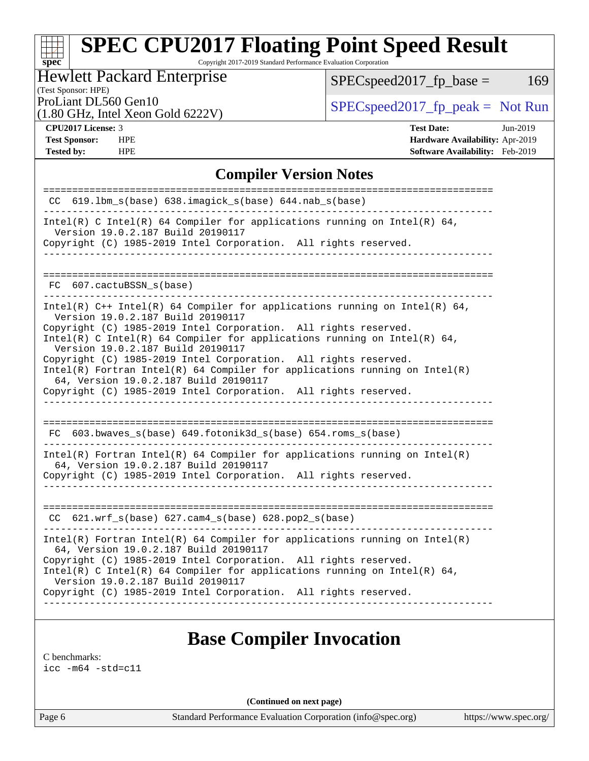Copyright 2017-2019 Standard Performance Evaluation Corporation

|  | <b>Hewlett Packard Enterprise</b> |  |
|--|-----------------------------------|--|
|  |                                   |  |

 $SPEC speed2017_fp\_base = 169$ 

### (Test Sponsor: HPE)

(1.80 GHz, Intel Xeon Gold 6222V)

ProLiant DL560 Gen10<br>  $\begin{array}{c|c}\n\text{SPEC speed2017\_fp\_peak} = \text{Not Run} \\
\hline\n\end{array}$ 

**[spec](http://www.spec.org/)**

**[Tested by:](http://www.spec.org/auto/cpu2017/Docs/result-fields.html#Testedby)** HPE **[Software Availability:](http://www.spec.org/auto/cpu2017/Docs/result-fields.html#SoftwareAvailability)** Feb-2019

**[CPU2017 License:](http://www.spec.org/auto/cpu2017/Docs/result-fields.html#CPU2017License)** 3 **[Test Date:](http://www.spec.org/auto/cpu2017/Docs/result-fields.html#TestDate)** Jun-2019 **[Test Sponsor:](http://www.spec.org/auto/cpu2017/Docs/result-fields.html#TestSponsor)** HPE **[Hardware Availability:](http://www.spec.org/auto/cpu2017/Docs/result-fields.html#HardwareAvailability)** Apr-2019

#### **[Compiler Version Notes](http://www.spec.org/auto/cpu2017/Docs/result-fields.html#CompilerVersionNotes)**

| $619.1$ bm_s(base) $638.imagick_s(base)$ $644.nab_s(base)$<br>CC.                                                                                                                        |
|------------------------------------------------------------------------------------------------------------------------------------------------------------------------------------------|
| Intel(R) C Intel(R) 64 Compiler for applications running on Intel(R) 64,<br>Version 19.0.2.187 Build 20190117                                                                            |
| Copyright (C) 1985-2019 Intel Corporation. All rights reserved.                                                                                                                          |
|                                                                                                                                                                                          |
| FC 607.cactuBSSN s(base)                                                                                                                                                                 |
| Intel(R) $C++$ Intel(R) 64 Compiler for applications running on Intel(R) 64,<br>Version 19.0.2.187 Build 20190117                                                                        |
| Copyright (C) 1985-2019 Intel Corporation. All rights reserved.<br>Intel(R) C Intel(R) 64 Compiler for applications running on Intel(R) 64,<br>Version 19.0.2.187 Build 20190117         |
| Copyright (C) 1985-2019 Intel Corporation. All rights reserved.<br>$Intel(R)$ Fortran Intel(R) 64 Compiler for applications running on Intel(R)<br>64, Version 19.0.2.187 Build 20190117 |
| Copyright (C) 1985-2019 Intel Corporation. All rights reserved.                                                                                                                          |
|                                                                                                                                                                                          |
| FC 603.bwaves_s(base) 649.fotonik3d_s(base) 654.roms_s(base)<br>----------------                                                                                                         |
| $Intel(R)$ Fortran Intel(R) 64 Compiler for applications running on Intel(R)<br>64, Version 19.0.2.187 Build 20190117                                                                    |
| Copyright (C) 1985-2019 Intel Corporation. All rights reserved.                                                                                                                          |
|                                                                                                                                                                                          |
| $CC$ 621.wrf_s(base) 627.cam4_s(base) 628.pop2_s(base)                                                                                                                                   |
| $Intel(R)$ Fortran Intel(R) 64 Compiler for applications running on Intel(R)<br>64, Version 19.0.2.187 Build 20190117                                                                    |
| Copyright (C) 1985-2019 Intel Corporation. All rights reserved.<br>$Intel(R)$ C Intel(R) 64 Compiler for applications running on Intel(R) 64,<br>Version 19.0.2.187 Build 20190117       |
| Copyright (C) 1985-2019 Intel Corporation. All rights reserved.                                                                                                                          |
|                                                                                                                                                                                          |

### **[Base Compiler Invocation](http://www.spec.org/auto/cpu2017/Docs/result-fields.html#BaseCompilerInvocation)**

[C benchmarks](http://www.spec.org/auto/cpu2017/Docs/result-fields.html#Cbenchmarks):

[icc -m64 -std=c11](http://www.spec.org/cpu2017/results/res2019q3/cpu2017-20190625-15688.flags.html#user_CCbase_intel_icc_64bit_c11_33ee0cdaae7deeeab2a9725423ba97205ce30f63b9926c2519791662299b76a0318f32ddfffdc46587804de3178b4f9328c46fa7c2b0cd779d7a61945c91cd35)

**(Continued on next page)**

Page 6 Standard Performance Evaluation Corporation [\(info@spec.org\)](mailto:info@spec.org) <https://www.spec.org/>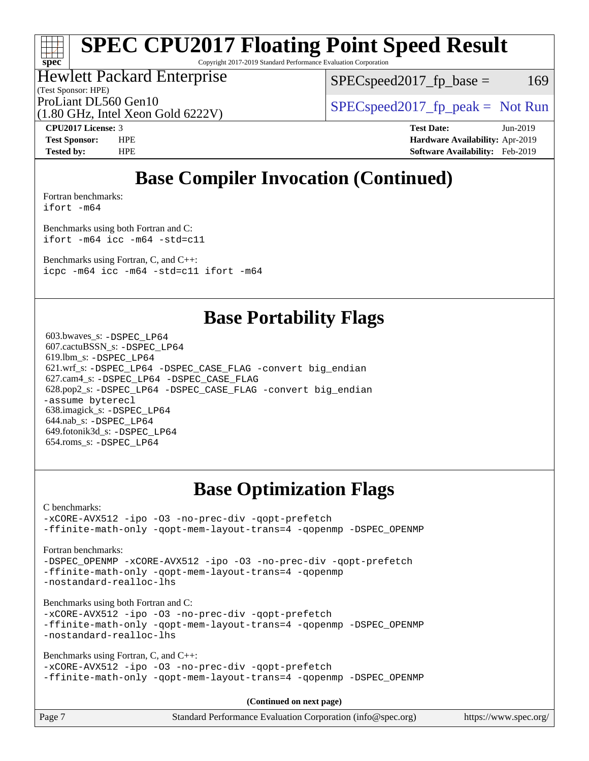Copyright 2017-2019 Standard Performance Evaluation Corporation

### Hewlett Packard Enterprise

(1.80 GHz, Intel Xeon Gold 6222V)

(Test Sponsor: HPE)

 $SPEC speed2017_fp\_base = 169$ 

ProLiant DL560 Gen10  $SPEC speed2017$  [p\_peak = Not Run

**[spec](http://www.spec.org/)**

**[CPU2017 License:](http://www.spec.org/auto/cpu2017/Docs/result-fields.html#CPU2017License)** 3 **[Test Date:](http://www.spec.org/auto/cpu2017/Docs/result-fields.html#TestDate)** Jun-2019 **[Test Sponsor:](http://www.spec.org/auto/cpu2017/Docs/result-fields.html#TestSponsor)** HPE **[Hardware Availability:](http://www.spec.org/auto/cpu2017/Docs/result-fields.html#HardwareAvailability)** Apr-2019 **[Tested by:](http://www.spec.org/auto/cpu2017/Docs/result-fields.html#Testedby)** HPE **[Software Availability:](http://www.spec.org/auto/cpu2017/Docs/result-fields.html#SoftwareAvailability)** Feb-2019

## **[Base Compiler Invocation \(Continued\)](http://www.spec.org/auto/cpu2017/Docs/result-fields.html#BaseCompilerInvocation)**

[Fortran benchmarks](http://www.spec.org/auto/cpu2017/Docs/result-fields.html#Fortranbenchmarks):

[ifort -m64](http://www.spec.org/cpu2017/results/res2019q3/cpu2017-20190625-15688.flags.html#user_FCbase_intel_ifort_64bit_24f2bb282fbaeffd6157abe4f878425411749daecae9a33200eee2bee2fe76f3b89351d69a8130dd5949958ce389cf37ff59a95e7a40d588e8d3a57e0c3fd751)

[Benchmarks using both Fortran and C](http://www.spec.org/auto/cpu2017/Docs/result-fields.html#BenchmarksusingbothFortranandC): [ifort -m64](http://www.spec.org/cpu2017/results/res2019q3/cpu2017-20190625-15688.flags.html#user_CC_FCbase_intel_ifort_64bit_24f2bb282fbaeffd6157abe4f878425411749daecae9a33200eee2bee2fe76f3b89351d69a8130dd5949958ce389cf37ff59a95e7a40d588e8d3a57e0c3fd751) [icc -m64 -std=c11](http://www.spec.org/cpu2017/results/res2019q3/cpu2017-20190625-15688.flags.html#user_CC_FCbase_intel_icc_64bit_c11_33ee0cdaae7deeeab2a9725423ba97205ce30f63b9926c2519791662299b76a0318f32ddfffdc46587804de3178b4f9328c46fa7c2b0cd779d7a61945c91cd35)

[Benchmarks using Fortran, C, and C++:](http://www.spec.org/auto/cpu2017/Docs/result-fields.html#BenchmarksusingFortranCandCXX) [icpc -m64](http://www.spec.org/cpu2017/results/res2019q3/cpu2017-20190625-15688.flags.html#user_CC_CXX_FCbase_intel_icpc_64bit_4ecb2543ae3f1412ef961e0650ca070fec7b7afdcd6ed48761b84423119d1bf6bdf5cad15b44d48e7256388bc77273b966e5eb805aefd121eb22e9299b2ec9d9) [icc -m64 -std=c11](http://www.spec.org/cpu2017/results/res2019q3/cpu2017-20190625-15688.flags.html#user_CC_CXX_FCbase_intel_icc_64bit_c11_33ee0cdaae7deeeab2a9725423ba97205ce30f63b9926c2519791662299b76a0318f32ddfffdc46587804de3178b4f9328c46fa7c2b0cd779d7a61945c91cd35) [ifort -m64](http://www.spec.org/cpu2017/results/res2019q3/cpu2017-20190625-15688.flags.html#user_CC_CXX_FCbase_intel_ifort_64bit_24f2bb282fbaeffd6157abe4f878425411749daecae9a33200eee2bee2fe76f3b89351d69a8130dd5949958ce389cf37ff59a95e7a40d588e8d3a57e0c3fd751)

### **[Base Portability Flags](http://www.spec.org/auto/cpu2017/Docs/result-fields.html#BasePortabilityFlags)**

 603.bwaves\_s: [-DSPEC\\_LP64](http://www.spec.org/cpu2017/results/res2019q3/cpu2017-20190625-15688.flags.html#suite_basePORTABILITY603_bwaves_s_DSPEC_LP64) 607.cactuBSSN\_s: [-DSPEC\\_LP64](http://www.spec.org/cpu2017/results/res2019q3/cpu2017-20190625-15688.flags.html#suite_basePORTABILITY607_cactuBSSN_s_DSPEC_LP64) 619.lbm\_s: [-DSPEC\\_LP64](http://www.spec.org/cpu2017/results/res2019q3/cpu2017-20190625-15688.flags.html#suite_basePORTABILITY619_lbm_s_DSPEC_LP64) 621.wrf\_s: [-DSPEC\\_LP64](http://www.spec.org/cpu2017/results/res2019q3/cpu2017-20190625-15688.flags.html#suite_basePORTABILITY621_wrf_s_DSPEC_LP64) [-DSPEC\\_CASE\\_FLAG](http://www.spec.org/cpu2017/results/res2019q3/cpu2017-20190625-15688.flags.html#b621.wrf_s_baseCPORTABILITY_DSPEC_CASE_FLAG) [-convert big\\_endian](http://www.spec.org/cpu2017/results/res2019q3/cpu2017-20190625-15688.flags.html#user_baseFPORTABILITY621_wrf_s_convert_big_endian_c3194028bc08c63ac5d04de18c48ce6d347e4e562e8892b8bdbdc0214820426deb8554edfa529a3fb25a586e65a3d812c835984020483e7e73212c4d31a38223) 627.cam4\_s: [-DSPEC\\_LP64](http://www.spec.org/cpu2017/results/res2019q3/cpu2017-20190625-15688.flags.html#suite_basePORTABILITY627_cam4_s_DSPEC_LP64) [-DSPEC\\_CASE\\_FLAG](http://www.spec.org/cpu2017/results/res2019q3/cpu2017-20190625-15688.flags.html#b627.cam4_s_baseCPORTABILITY_DSPEC_CASE_FLAG) 628.pop2\_s: [-DSPEC\\_LP64](http://www.spec.org/cpu2017/results/res2019q3/cpu2017-20190625-15688.flags.html#suite_basePORTABILITY628_pop2_s_DSPEC_LP64) [-DSPEC\\_CASE\\_FLAG](http://www.spec.org/cpu2017/results/res2019q3/cpu2017-20190625-15688.flags.html#b628.pop2_s_baseCPORTABILITY_DSPEC_CASE_FLAG) [-convert big\\_endian](http://www.spec.org/cpu2017/results/res2019q3/cpu2017-20190625-15688.flags.html#user_baseFPORTABILITY628_pop2_s_convert_big_endian_c3194028bc08c63ac5d04de18c48ce6d347e4e562e8892b8bdbdc0214820426deb8554edfa529a3fb25a586e65a3d812c835984020483e7e73212c4d31a38223) [-assume byterecl](http://www.spec.org/cpu2017/results/res2019q3/cpu2017-20190625-15688.flags.html#user_baseFPORTABILITY628_pop2_s_assume_byterecl_7e47d18b9513cf18525430bbf0f2177aa9bf368bc7a059c09b2c06a34b53bd3447c950d3f8d6c70e3faf3a05c8557d66a5798b567902e8849adc142926523472) 638.imagick\_s: [-DSPEC\\_LP64](http://www.spec.org/cpu2017/results/res2019q3/cpu2017-20190625-15688.flags.html#suite_basePORTABILITY638_imagick_s_DSPEC_LP64) 644.nab\_s: [-DSPEC\\_LP64](http://www.spec.org/cpu2017/results/res2019q3/cpu2017-20190625-15688.flags.html#suite_basePORTABILITY644_nab_s_DSPEC_LP64) 649.fotonik3d\_s: [-DSPEC\\_LP64](http://www.spec.org/cpu2017/results/res2019q3/cpu2017-20190625-15688.flags.html#suite_basePORTABILITY649_fotonik3d_s_DSPEC_LP64) 654.roms\_s: [-DSPEC\\_LP64](http://www.spec.org/cpu2017/results/res2019q3/cpu2017-20190625-15688.flags.html#suite_basePORTABILITY654_roms_s_DSPEC_LP64)

## **[Base Optimization Flags](http://www.spec.org/auto/cpu2017/Docs/result-fields.html#BaseOptimizationFlags)**

[C benchmarks](http://www.spec.org/auto/cpu2017/Docs/result-fields.html#Cbenchmarks):

[-xCORE-AVX512](http://www.spec.org/cpu2017/results/res2019q3/cpu2017-20190625-15688.flags.html#user_CCbase_f-xCORE-AVX512) [-ipo](http://www.spec.org/cpu2017/results/res2019q3/cpu2017-20190625-15688.flags.html#user_CCbase_f-ipo) [-O3](http://www.spec.org/cpu2017/results/res2019q3/cpu2017-20190625-15688.flags.html#user_CCbase_f-O3) [-no-prec-div](http://www.spec.org/cpu2017/results/res2019q3/cpu2017-20190625-15688.flags.html#user_CCbase_f-no-prec-div) [-qopt-prefetch](http://www.spec.org/cpu2017/results/res2019q3/cpu2017-20190625-15688.flags.html#user_CCbase_f-qopt-prefetch) [-ffinite-math-only](http://www.spec.org/cpu2017/results/res2019q3/cpu2017-20190625-15688.flags.html#user_CCbase_f_finite_math_only_cb91587bd2077682c4b38af759c288ed7c732db004271a9512da14a4f8007909a5f1427ecbf1a0fb78ff2a814402c6114ac565ca162485bbcae155b5e4258871) [-qopt-mem-layout-trans=4](http://www.spec.org/cpu2017/results/res2019q3/cpu2017-20190625-15688.flags.html#user_CCbase_f-qopt-mem-layout-trans_fa39e755916c150a61361b7846f310bcdf6f04e385ef281cadf3647acec3f0ae266d1a1d22d972a7087a248fd4e6ca390a3634700869573d231a252c784941a8) [-qopenmp](http://www.spec.org/cpu2017/results/res2019q3/cpu2017-20190625-15688.flags.html#user_CCbase_qopenmp_16be0c44f24f464004c6784a7acb94aca937f053568ce72f94b139a11c7c168634a55f6653758ddd83bcf7b8463e8028bb0b48b77bcddc6b78d5d95bb1df2967) [-DSPEC\\_OPENMP](http://www.spec.org/cpu2017/results/res2019q3/cpu2017-20190625-15688.flags.html#suite_CCbase_DSPEC_OPENMP)

[Fortran benchmarks](http://www.spec.org/auto/cpu2017/Docs/result-fields.html#Fortranbenchmarks):

[-DSPEC\\_OPENMP](http://www.spec.org/cpu2017/results/res2019q3/cpu2017-20190625-15688.flags.html#suite_FCbase_DSPEC_OPENMP) [-xCORE-AVX512](http://www.spec.org/cpu2017/results/res2019q3/cpu2017-20190625-15688.flags.html#user_FCbase_f-xCORE-AVX512) [-ipo](http://www.spec.org/cpu2017/results/res2019q3/cpu2017-20190625-15688.flags.html#user_FCbase_f-ipo) [-O3](http://www.spec.org/cpu2017/results/res2019q3/cpu2017-20190625-15688.flags.html#user_FCbase_f-O3) [-no-prec-div](http://www.spec.org/cpu2017/results/res2019q3/cpu2017-20190625-15688.flags.html#user_FCbase_f-no-prec-div) [-qopt-prefetch](http://www.spec.org/cpu2017/results/res2019q3/cpu2017-20190625-15688.flags.html#user_FCbase_f-qopt-prefetch) [-ffinite-math-only](http://www.spec.org/cpu2017/results/res2019q3/cpu2017-20190625-15688.flags.html#user_FCbase_f_finite_math_only_cb91587bd2077682c4b38af759c288ed7c732db004271a9512da14a4f8007909a5f1427ecbf1a0fb78ff2a814402c6114ac565ca162485bbcae155b5e4258871) [-qopt-mem-layout-trans=4](http://www.spec.org/cpu2017/results/res2019q3/cpu2017-20190625-15688.flags.html#user_FCbase_f-qopt-mem-layout-trans_fa39e755916c150a61361b7846f310bcdf6f04e385ef281cadf3647acec3f0ae266d1a1d22d972a7087a248fd4e6ca390a3634700869573d231a252c784941a8) [-qopenmp](http://www.spec.org/cpu2017/results/res2019q3/cpu2017-20190625-15688.flags.html#user_FCbase_qopenmp_16be0c44f24f464004c6784a7acb94aca937f053568ce72f94b139a11c7c168634a55f6653758ddd83bcf7b8463e8028bb0b48b77bcddc6b78d5d95bb1df2967) [-nostandard-realloc-lhs](http://www.spec.org/cpu2017/results/res2019q3/cpu2017-20190625-15688.flags.html#user_FCbase_f_2003_std_realloc_82b4557e90729c0f113870c07e44d33d6f5a304b4f63d4c15d2d0f1fab99f5daaed73bdb9275d9ae411527f28b936061aa8b9c8f2d63842963b95c9dd6426b8a)

[Benchmarks using both Fortran and C](http://www.spec.org/auto/cpu2017/Docs/result-fields.html#BenchmarksusingbothFortranandC):

[-xCORE-AVX512](http://www.spec.org/cpu2017/results/res2019q3/cpu2017-20190625-15688.flags.html#user_CC_FCbase_f-xCORE-AVX512) [-ipo](http://www.spec.org/cpu2017/results/res2019q3/cpu2017-20190625-15688.flags.html#user_CC_FCbase_f-ipo) [-O3](http://www.spec.org/cpu2017/results/res2019q3/cpu2017-20190625-15688.flags.html#user_CC_FCbase_f-O3) [-no-prec-div](http://www.spec.org/cpu2017/results/res2019q3/cpu2017-20190625-15688.flags.html#user_CC_FCbase_f-no-prec-div) [-qopt-prefetch](http://www.spec.org/cpu2017/results/res2019q3/cpu2017-20190625-15688.flags.html#user_CC_FCbase_f-qopt-prefetch) [-ffinite-math-only](http://www.spec.org/cpu2017/results/res2019q3/cpu2017-20190625-15688.flags.html#user_CC_FCbase_f_finite_math_only_cb91587bd2077682c4b38af759c288ed7c732db004271a9512da14a4f8007909a5f1427ecbf1a0fb78ff2a814402c6114ac565ca162485bbcae155b5e4258871) [-qopt-mem-layout-trans=4](http://www.spec.org/cpu2017/results/res2019q3/cpu2017-20190625-15688.flags.html#user_CC_FCbase_f-qopt-mem-layout-trans_fa39e755916c150a61361b7846f310bcdf6f04e385ef281cadf3647acec3f0ae266d1a1d22d972a7087a248fd4e6ca390a3634700869573d231a252c784941a8) [-qopenmp](http://www.spec.org/cpu2017/results/res2019q3/cpu2017-20190625-15688.flags.html#user_CC_FCbase_qopenmp_16be0c44f24f464004c6784a7acb94aca937f053568ce72f94b139a11c7c168634a55f6653758ddd83bcf7b8463e8028bb0b48b77bcddc6b78d5d95bb1df2967) [-DSPEC\\_OPENMP](http://www.spec.org/cpu2017/results/res2019q3/cpu2017-20190625-15688.flags.html#suite_CC_FCbase_DSPEC_OPENMP) [-nostandard-realloc-lhs](http://www.spec.org/cpu2017/results/res2019q3/cpu2017-20190625-15688.flags.html#user_CC_FCbase_f_2003_std_realloc_82b4557e90729c0f113870c07e44d33d6f5a304b4f63d4c15d2d0f1fab99f5daaed73bdb9275d9ae411527f28b936061aa8b9c8f2d63842963b95c9dd6426b8a)

[Benchmarks using Fortran, C, and C++:](http://www.spec.org/auto/cpu2017/Docs/result-fields.html#BenchmarksusingFortranCandCXX)

[-xCORE-AVX512](http://www.spec.org/cpu2017/results/res2019q3/cpu2017-20190625-15688.flags.html#user_CC_CXX_FCbase_f-xCORE-AVX512) [-ipo](http://www.spec.org/cpu2017/results/res2019q3/cpu2017-20190625-15688.flags.html#user_CC_CXX_FCbase_f-ipo) [-O3](http://www.spec.org/cpu2017/results/res2019q3/cpu2017-20190625-15688.flags.html#user_CC_CXX_FCbase_f-O3) [-no-prec-div](http://www.spec.org/cpu2017/results/res2019q3/cpu2017-20190625-15688.flags.html#user_CC_CXX_FCbase_f-no-prec-div) [-qopt-prefetch](http://www.spec.org/cpu2017/results/res2019q3/cpu2017-20190625-15688.flags.html#user_CC_CXX_FCbase_f-qopt-prefetch) [-ffinite-math-only](http://www.spec.org/cpu2017/results/res2019q3/cpu2017-20190625-15688.flags.html#user_CC_CXX_FCbase_f_finite_math_only_cb91587bd2077682c4b38af759c288ed7c732db004271a9512da14a4f8007909a5f1427ecbf1a0fb78ff2a814402c6114ac565ca162485bbcae155b5e4258871) [-qopt-mem-layout-trans=4](http://www.spec.org/cpu2017/results/res2019q3/cpu2017-20190625-15688.flags.html#user_CC_CXX_FCbase_f-qopt-mem-layout-trans_fa39e755916c150a61361b7846f310bcdf6f04e385ef281cadf3647acec3f0ae266d1a1d22d972a7087a248fd4e6ca390a3634700869573d231a252c784941a8) [-qopenmp](http://www.spec.org/cpu2017/results/res2019q3/cpu2017-20190625-15688.flags.html#user_CC_CXX_FCbase_qopenmp_16be0c44f24f464004c6784a7acb94aca937f053568ce72f94b139a11c7c168634a55f6653758ddd83bcf7b8463e8028bb0b48b77bcddc6b78d5d95bb1df2967) [-DSPEC\\_OPENMP](http://www.spec.org/cpu2017/results/res2019q3/cpu2017-20190625-15688.flags.html#suite_CC_CXX_FCbase_DSPEC_OPENMP)

**(Continued on next page)**

| Page 7 | Standard Performance Evaluation Corporation (info@spec.org) | https://www.spec.org/ |
|--------|-------------------------------------------------------------|-----------------------|
|        |                                                             |                       |